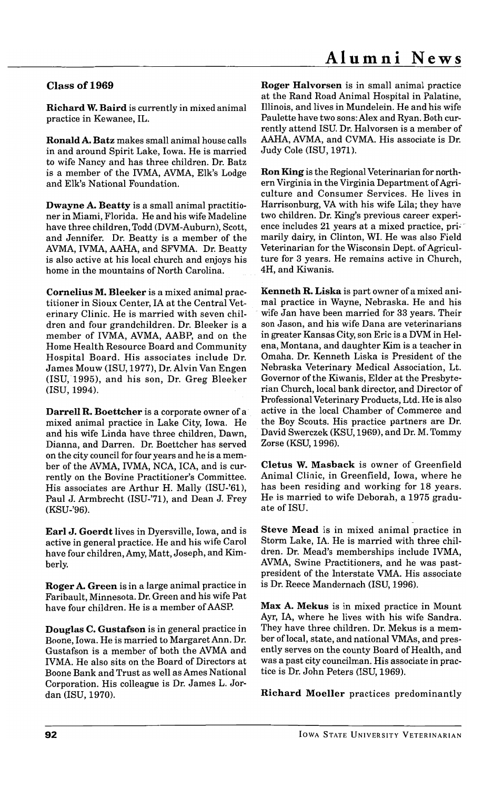## Class of 1969

Richard W. Baird is currently in mixed animal practice in Kewanee, IL.

Ronald A. Batz makes small animal house calls in and around Spirit Lake, Iowa. He is married to wife Nancy and has three children. Dr. Batz is a member of the IVMA, AVMA, Elk's Lodge and Elk's National Foundation.

Dwayne A. Beatty is a small animal practitioner in Miami, Florida. He and his wife Madeline have three children, Todd (DVM-Auburn), Scott, and Jennifer. Dr. Beatty is a member of the AVMA, IVMA, AAHA, and SFVMA. Dr. Beatty is also active at his local church and enjoys his home in the mountains of North Carolina.

Cornelius M. Bleeker is a mixed animal practitioner in Sioux Center, IA at the Central Veterinary Clinic. He is married with seven children and four grandchildren. Dr. Bleeker is a member of IVMA, AVMA, AABP, and on the Home Health Resource Board and Community Hospital Board. His associates include Dr. James Mouw (lSU, 1977), Dr. Alvin Van Engen (lSU, 1995), and his son, Dr. Greg Bleeker (lSD, 1994).

Darrell R. Boettcher is a corporate owner of a mixed animal practice in Lake City, Iowa. He and his wife Linda have three children, Dawn, Dianna, and Darren. Dr. Boettcher has served on the city council for four years and he is a member of the AVMA, IVMA, NCA, ICA, and is currently on the Bovine Practitioner's Committee. His associates are Arthur H. Mally (ISU-'61), Paul J. Armbrecht (ISU-'71), and Dean J. Frey (KSU-'96).

Earl J. Goerdt lives in Dyersville, Iowa, and is active in general practice. He and his wife Carol have four children, Amy, Matt, Joseph, and Kimberly.

Roger A. Green is in a large animal practice in Faribault, Minnesota. Dr. Green and his wife Pat have four children. He is a member of AASP.

Douglas C. Gustafson is in general practice in Boone, Iowa. He is married to Margaret Ann. Dr. Gustafson is a member of both the AVMA and IVMA. He also sits on the Board of Directors at Boone Bank and Trust as well as Ames National Corporation. His colleague is Dr. James L. Jordan (lSU, 1970).

Roger Halvorsen is in small animal practice at the Rand Road Animal Hospital in Palatine, Illinois, and lives in Mundelein. He and his wife Paulette have two sons: Alex and Ryan. Both currently attend ISU. Dr. Halvorsen is a member of AAHA, AVMA, and CVMA. His associate is Dr. Judy Cole (ISU, 1971).

Ron King is the Regional Veterinarian for northern Virginia in the Virginia Department of Agriculture and Consumer Services. He lives in Harrisonburg, VA with his wife Lila; they have two children. Dr. King's previous career experience includes 21 years at a mixed practice, primarily dairy, in Clinton, WI. He was also Field Veterinarian for the Wisconsin Dept. of Agriculture for 3 years. He remains active in Church, 4H, and Kiwanis.

Kenneth R. Liska is part owner of a mixed animal practice in Wayne, Nebraska. He and his wife Jan have been married for 33 years. Their son Jason, and his wife Dana are veterinarians in greater Kansas City, son Eric is a DVM in Helena, Montana, and daughter Kim is a teacher in Omaha. Dr. Kenneth Liska is President of the Nebraska Veterinary Medical Association, Lt. Governor of the Kiwanis, Elder at the Presbyterian Church, local bank director, and Director of Professional Veterinary Products, Ltd. He is also active in the local Chamber of Commerce and the Boy Scouts. His practice partners are Dr. David Swerczek (KSU, 1969), and Dr. M. Tommy Zorse (KSU, 1996).

Cletus W. Masback is owner of Greenfield Animal Clinic, in Greenfield, Iowa, where he has been residing and working for 18 years. He is married to wife Deborah, a 1975 graduate of ISU.

Steve Mead is in mixed animal practice in Storm Lake, IA. He is married with three children. Dr. Mead's memberships include IVMA, AVMA, Swine Practitioners, and he was pastpresident of the Interstate VMA. His associate is Dr. Reece Mandernach (lSU, 1996).

Max A. Mekus is in mixed practice in Mount Ayr, lA, where he lives with his wife Sandra. They have three children. Dr. Mekus is a member oflocal, state, and national VMAs, and presently serves on the county Board of Health, and was a past city councilman. His associate in practice is Dr. John Peters (ISU, 1969).

Richard Moeller practices predominantly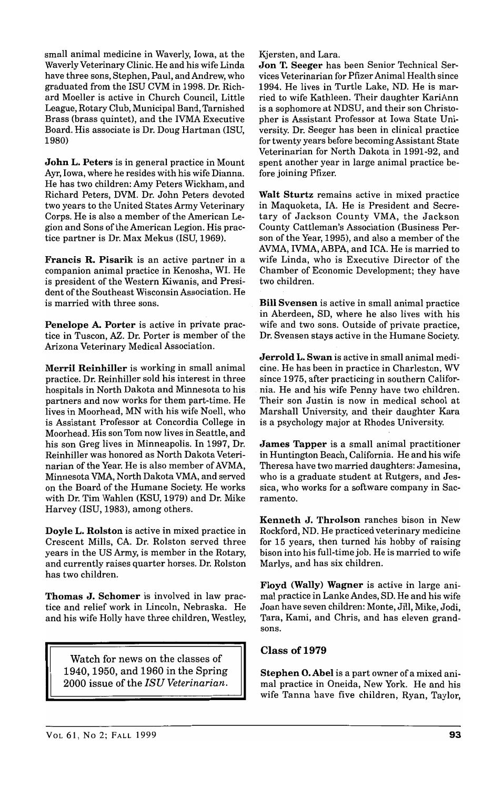small animal medicine in Waverly, Iowa, at the Waverly Veterinary Clinic. He and his wife Linda have three sons, Stephen, Paul, and Andrew, who graduated from the ISU CVM in 1998. Dr. Richard Moeller is active in Church Council, Little League, Rotary Club, Municipal Band, Tarnished Brass (brass quintet), and the IVMA Executive Board. His associate is Dr. Doug Hartman (lSU, 1980)

John L. Peters is in general practice in Mount Ayr, Iowa, where he resides with his wife Dianna. He has two children: Amy Peters Wickham, and Richard Peters, DVM. Dr. John Peters devoted two years to the United States Army Veterinary Corps. He is also a member of the American Legion and Sons of the American Legion. His practice partner is Dr. Max Mekus (ISU, 1969).

Francis R. Pisarik is an active partner in a companion animal practice in Kenosha, WI. He is president of the Western Kiwanis, and President of the Southeast Wisconsin Association. He is married with three sons.

Penelope A. Porter is active in private practice in Tuscon, AZ. Dr. Porter is member of the Arizona Veterinary Medical Association.

Merril Reinhiller is working in small animal practice. Dr. Reinhiller sold his interest in three hospitals in North Dakota and Minnesota to his partners and now works for them part-time. He lives in Moorhead, MN with his wife Noell, who is Assistant Professor at Concordia College in Moorhead. His son Tom now lives in Seattle, and his son Greg lives in Minneapolis. In 1997, Dr. Reinhiller was honored as North Dakota Veterinarian of the Year. He is also member of AVMA, Minnesota VMA, North Dakota VMA, and served on the Board of the Humane Society. He works with Dr. Tim Wahlen (KSU, 1979) and Dr. Mike Harvey (lSU, 1983), among others.

Doyle L. Rolston is active in mixed practice in Crescent Mills, CA. Dr. Rolston served three years in the US Army, is member in the Rotary, and currently raises quarter horses. Dr. Rolston has two children.

Thomas J. Schomer is involved in law practice and relief work in Lincoln, Nebraska. He and his wife Holly have three children, Westley,

Watch for news on the classes of 1940,1950, and 1960 in the Spring 2000 issue of the *ISU Veterinarian.*  Kjersten, and Lara.

Jon T. Seeger has been Senior Technical Services Veterinarian for Pfizer Animal Health since 1994. He lives in Turtle Lake, NO. He is married to wife Kathleen. Their daughter KariAnn is a sophomore at NDSU, and their son Christopher is Assistant Professor at Iowa State University. Dr. Seeger has been in clinical practice for twenty years before becoming Assistant State Veterinarian for North Dakota in 1991-92, and spent another year in large animal practice before joining Pfizer.

Walt Sturtz remains active in mixed practice in Maquoketa, IA. He is President and Secretary of Jackson County VMA, the Jackson County Cattleman's Association (Business Person of the Year, 1995), and also a member of the AVMA, IVMA, ABPA, and ICA. He is married to wife Linda, who is Executive Director of the Chamber of Economic Development; they have two children.

Bill Svensen is active in small animal practice in Aberdeen, SD, where he also lives with his wife and two sons. Outside of private practice, Dr. Svensen stays active in the Humane Society.

Jerrold L. Swan is active in small animal medicine. He has been in practice in Charleston, WV since 1975, after practicing in southern California. He and his wife Penny have two children. Their son Justin is now in medical school at Marshall University, and their daughter Kara is a psychology major at Rhodes University.

James Tapper is a small animal practitioner in Huntington Beach, California. He and his wife Theresa have two married daughters: Jamesina, who is a graduate student at Rutgers, and Jessica, who works for a software company in Sacramento.

Kenneth J. Throlson ranches bison in New Rockford, ND. He practiced veterinary medicine for 15 years, then turned his hobby of raising bison into his full-time job. He is married to wife Marlys, and has six children.

Floyd (Wally) Wagner is active in large animal practice in Lanke Andes, SD. He and his wife Joan have seven children: Monte, Jill, Mike, Jodi, Tara, Kami, and Chris, and has eleven grandsons.

## Class of 1979

Stephen O. Abel is a part owner of a mixed animal practice in Oneida, New York. He and his wife Tanna have five children, Ryan, Taylor,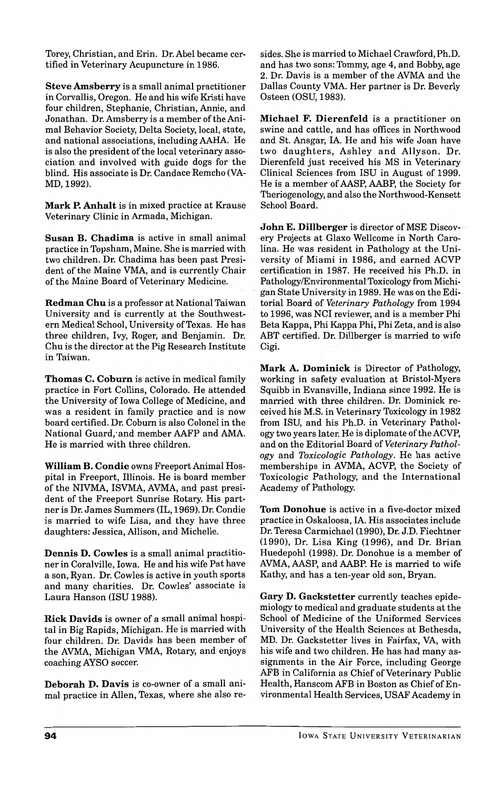Torey, Christian, and Erin. Dr. Abel became certified in Veterinary Acupuncture in 1986.

Steve Amsberry is a small animal practitioner in Corvallis, Oregon. He and his wife Kristi have four children, Stephanie, Christian, Annie, and Jonathan. Dr. Amsberry is a member of the Animal Behavior Society, Delta Society, local, state, and national associations, including AAHA. He is also the president of the local veterinary association and involved with guide dogs for the blind. His associate is Dr. Candace Remcho (VA-MD,1992).

Mark P. Anhalt is in mixed practice at Krause Veterinary Clinic in Armada, Michigan.

Susan B. Chadima is active in small animal practice in Topsham, Maine. She is married with two children. Dr. Chadima has been past President of the Maine VMA, and is currently Chair of the Maine Board of Veterinary Medicine.

Redman Chu is a professor at National Taiwan University and is currently at the Southwestern Medical School, University of Texas. He has three children, Ivy, Roger, and Benjamin. Dr. Chu is the director at the Pig Research Institute in Taiwan.

Thomas C. Coburn is active in medical family practice in Fort Collins, Colorado. He attended the University of Iowa College of Medicine, and was a resident in family practice and is now board certified. Dr. Coburn is also Colonel in the National Guard; and member AAFP and AMA. He is married with three children.

William B. Condie owns Freeport Animal Hospital in Freeport, Illinois. He is board member of the NIVMA, ISVMA, AVMA, and past president of the Freeport Sunrise Rotary. His partneris Dr. James Summers (IL, 1969). Dr. Condie is married to wife Lisa, and they have three daughters: Jessica, Allison, and Michelle.

Dennis D. Cowles is a small animal practitioner in Coralville, Iowa. He and his wife Pat have a son, Ryan. Dr. Cowles is active in youth sports and many charities. Dr. Cowles' associate is Laura Hanson (lSU 1988).

Rick Davids is owner of a small animal hospital in Big Rapids, Michigan. He is married with four children. Dr. Davids has been member of the AVMA, Michigan VMA, Rotary, and enjoys coaching AYSO soccer.

Deborah D. Davis is co-owner of a small animal practice in Allen, Texas, where she also resides. She is married to Michael Crawford, Ph.D. and has two sons: Tommy, age 4, and Bobby, age 2. Dr. Davis is a member of the AVMA and the Dallas County VMA. Her partner is Dr. Beverly Osteen (OSU, 1983).

Michael F. Dierenfeld is a practitioner on swine and cattle, and has offices in Northwood and St. Ansgar, IA. He and his wife Joan have two daughters, Ashley and Allyson. Dr. Dierenfeld just received his MS in Veterinary Clinical Sciences from ISU in August of 1999. He is a member of AASP, AABP, the Society for Theriogenology, and also the Northwood-Kensett School Board.

John E. Dillberger is director of MSE Discovery Projects at Glaxo WeUcome in North Carolina. He was resident in Pathology at the University of Miami in 1986, and earned ACVP certification in 1987. He received his Ph.D. in PathologylEnvironmental Toxicology from Michigan State University in 1989. He was on the Editorial Board of *Veterinary Pathology* from 1994 to 1996, was NCI reviewer, and is a member Phi Beta Kappa, Phi Kappa Phi, Phi Zeta, and is also ABT certified. Dr. Dillberger is married to wife Cigi.

Mark A. Dominick is Director of Pathology, working in safety evaluation at Bristol-Myers Squibb in Evansville, Indiana since 1992. He is married with three children. Dr. Dominick received his M.S. in Veterinary Toxicology in 1982 from ISU, and his Ph.D. in Veterinary Pathology two years later. He is diplomate of the ACVP, and on the Editorial Board of *Veterinary Pathology* and *Toxicologic Pathology.* He has active memberships in AVMA, ACVP, the Society of Toxicologic Pathology, and the International Academy of Pathology.

Tom Donohue is active in a five-doctor mixed practice in Oskaloosa, IA. His associates include Dr. Teresa Carmichael (1990), Dr. J.D. Fiechtner (1990), Dr. Lisa King (1996), and Dr. Brian Huedepohl (1998). Dr. Donohue is a member of AVMA, AASP, and AABP. He is married to wife Kathy, and has a ten-year old son, Bryan.

Gary D. Gackstetter currently teaches epidemiology to medical and graduate students at the School of Medicine of the Uniformed Services University of the Health Sciences at Bethesda, MD. Dr. Gackstetter lives in Fairfax, VA, with his wife and two children. He has had many assignments in the Air Force, including George AFB in California as Chief of Veterinary Public Health, Hanscom AFB in Boston as Chief of Environmental Health Services, USAF Academy in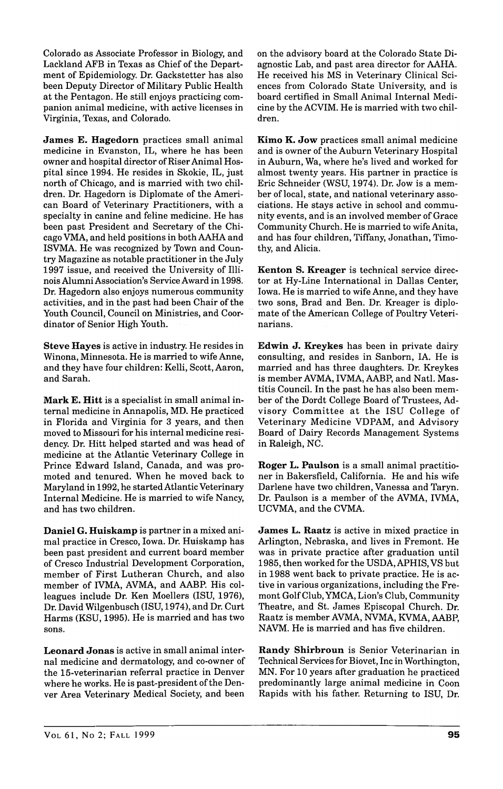Colorado as Associate Professor in Biology, and Lackland AFB in Texas as Chief of the Department of Epidemiology. Dr. Gackstetter has also been Deputy Director of Military Public Health at the Pentagon. He still enjoys practicing companion animal medicine, with active licenses in Virginia, Texas, and Colorado.

James E. Hagedorn practices small animal medicine in Evanston, IL, where he has been owner and hospital director of Riser Animal Hospital since 1994. He resides in Skokie, IL, just north of Chicago, and is married with two children. Dr. Hagedorn is Diplomate of the American Board of Veterinary Practitioners, with a specialty in canine and feline medicine. He has been past President and Secretary of the Chicago VMA, and held positions in both AAHA and ISVMA. He was recognized by Town and Country Magazine as notable practitioner in the July 1997 issue, and received the University of Illinois Alumni Association's Service Award in 1998. Dr. Hagedorn also enjoys numerous community activities, and in the past had been Chair of the Youth Council, Council on Ministries, and Coordinator of Senior High Youth.

Steve Hayes is active in industry. He resides in Winona, Minnesota. He is married to wife Anne, and they have four children: Kelli, Scott, Aaron, and Sarah.

Mark E. Hitt is a specialist in small animal internal medicine in Annapolis, MD. He practiced in Florida and Virginia for 3 years, and then moved to Missouri for his internal medicine residency. Dr. Hitt helped started and was head of medicine at the Atlantic Veterinary College in Prince Edward Island, Canada, and was promoted and tenured. When he moved back to Maryland in 1992, he started Atlantic Veterinary Internal Medicine. He is married to wife Nancy, and has two children.

Daniel G. Huiskamp is partner in a mixed animal practice in Cresco, Iowa. Dr. Huiskamp has been past president and current board member of Cresco Industrial Development Corporation, member of First Lutheran Church, and also member of IVMA, AVMA, and AABP. His colleagues include Dr. Ken Moellers (ISU, 1976), Dr. David Wilgenbusch (ISU, 1974), and Dr. Curt Harms (KSU, 1995). He is married and has two sons.

Leonard Jonas is active in small animal internal medicine and dermatology, and co-owner of the 15-veterinarian referral practice in Denver where he works. He is past-president of the Denver Area Veterinary Medical Society, and been

on the advisory board at the Colorado State Diagnostic Lab, and past area director for AAHA. He received his MS in Veterinary Clinical Sciences from Colorado State University, and is board certified in Small Animal Internal Medicine by the ACVIM. He is married with two children.

Kimo K. Jow practices small animal medicine and is owner of the Auburn Veterinary Hospital in Auburn, Wa, where he's lived and worked for almost twenty years. His partner in practice is Eric Schneider (WSU, 1974). Dr. Jow is a member of local, state, and national veterinary associations. He stays active in school and community events, and is an involved member of Grace Community Church. He is married to wife Anita, and has four children, Tiffany, Jonathan, Timothy, and Alicia.

Kenton S. Kreager is technical service director at Hy-Line International in Dallas Center, Iowa. He is married to wife Anne, and they have two sons, Brad and Ben. Dr. Kreager is diplomate of the American College of Poultry Veterinarians.

Edwin J. Kreykes has been in private dairy consulting, and resides in Sanborn, IA. He is married and has three daughters. Dr. Kreykes is member AVMA, IVMA, AABP, and Natl. Mastitis Council. In the past he has also been member of the Dordt College Board of Trustees, Advisory Committee at the ISU College of Veterinary Medicine VDPAM, and Advisory Board of Dairy Records Management Systems in Raleigh, NC.

Roger L. Paulson is a small animal practitioner in Bakersfield, California. He and his wife Darlene have two children, Vanessa and Taryn. Dr. Paulson is a member of the AVMA, IVMA, UCVMA, and the CVMA.

James L. Raatz is active in mixed practice in Arlington, Nebraska, and lives in Fremont. He was in private practice after graduation until 1985, then worked for the USDA, APHIS, VS but in 1988 went back to private practice. He is active in various organizations, including the Fremont Golf Club, YMCA, Lion's Club, Community Theatre, and St. James Episcopal Church. Dr. Raatz is member AVMA, NVMA, KVMA, AABP, NAVM. He is married and has five children.

Randy Shirbroun is Senior Veterinarian in Technical Services for Biovet, Inc in Worthington, MN. For 10 years after graduation he practiced predominantly large animal medicine in Coon Rapids with his father. Returning to ISU, Dr.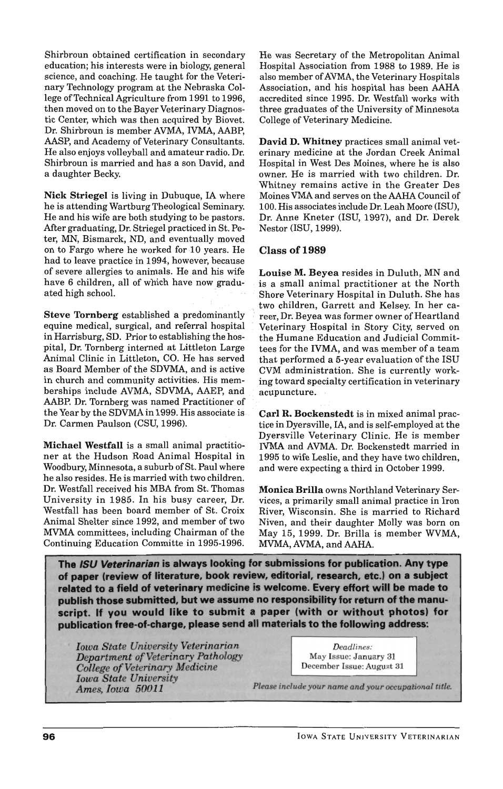Shirbroun obtained certification in secondary education; his interests were in biology, general science, and coaching. He taught for the Veterinary Technology program at the Nebraska College of Technical Agriculture from 1991 to 1996, then moved on to the Bayer Veterinary Diagnostic Center, which was then acquired by Biovet. Dr. Shirbroun is member AVMA, IVMA, AABP, AASP, and Academy of Veterinary Consultants. He also enjoys volleyball and amateur radio. Dr. Shirbroun is married and has a son David, and a daughter Becky.

Nick Striegel is living in Dubuque, IA where he is attending Wartburg Theological Seminary. He and his wife are both studying to be pastors. Mter graduating, Dr. Striegel practiced in St. Peter, MN, Bismarck, ND, and eventually moved on to Fargo where he worked for 10 years. He had to leave practice in 1994, however, because of severe allergies to animals. He and his wife have 6 children, all of which have now graduated high school.

Steve Tornberg established a predominantly equine medical, surgical, and referral hospital in Harrisburg, SD. Prior to establishing the hospital, Dr. Tornberg interned at Littleton Large Animal Clinic in Littleton, CO. He has served as Board Member of the SDVMA, and is active in church and community activities. His memberships include AVMA, SDVMA, AAEP, and AABP. Dr. Tornberg was named Practitioner of the Year by the SDVMA in 1999. His associate is . Dr. Carmen Paulson (CSU, 1996).

Michael Westfall is a small animal practitioner at the Hudson Road Animal Hospital in Woodbury, Minnesota, a suburb of St. Paul where he also resides. He is married with two children. Dr. Westfall received his MBA from St. Thomas University in 1985. In his busy career, Dr. Westfall has been board member of St. Croix Animal Shelter since 1992, and member of two MVMA committees, including Chairman of the Continuing Education Committe in 1995-1996.

He was Secretary of the Metropolitan Animal Hospital Association from 1988 to 1989. He is also member of AVMA, the Veterinary Hospitals Association, and his hospital has been AAHA accredited since 1995. Dr. Westfall works with three graduates of the University of Minnesota College of Veterinary Medicine.

David D. Whitney practices small animal veterinary medicine at the Jordan Creek Animal Hospital in West Des Moines, where he is also owner. He is married with two children. Dr. Whitney remains active in the Greater Des Moines VMA and serves on the AAHA Council of 100. His associates include Dr. Leah Moore (ISU), Dr. Anne Kneter (lSU, 1997), and Dr. Derek Nestor (ISU, 1999).

## Class of 1989

Louise M. Beyea resides in Duluth, MN and . is a small animal practitioner at the North Shore Veterinary Hospital in Duluth. She has two children, Garrett and Kelsey. In her career, Dr. Beyea was former owner of Heartland Veterinary Hospital in Story City, served on the Humane Education and Judicial Committees for the IVMA, and was member of a team that performed a 5-year evaluation of the ISU CVM administration. She is currently working toward specialty certification in veterinary acupuncture.

Carl R. Bockenstedt is in mixed animal practice in Dyersville, lA, and is self-employed at the Dyersville Veterinary Clinic. He is member IVMA and AVMA. Dr. Bockenstedt married in 1995 to wife Leslie, and they have two children, and were expecting a third in October 1999.

Monica Brilla owns Northland Veterinary Services, a primarily small animal practice in Iron River, Wisconsin. She is married to Richard Niven, and their daughter Molly was born on May 15, 1999. Dr. Brilla is member WVMA, MVMA, AVMA, and AAHA.

The ISU Veterinarian is always looking for submissions for publication. Any type of paper (review of literature, book review, editorial, research, etc.) on a subject related to a field of veterinary medicine is welcome. Every effort will be made to publish those submitted, but we assume no responsibility for return of the manuscript. If you would like to submit a paper (with or without photos) for publication free-of-charge, please send all materials to the following address:

*Iowa State University Veterinarian Department of Veterinary Pathology College of Veterinary Medicine Iowa State University Ames, Iowa 50011* 

*Deadlines:*  May Issue: January 31 December Issue: August 31

*Please include your name and your occupational title.*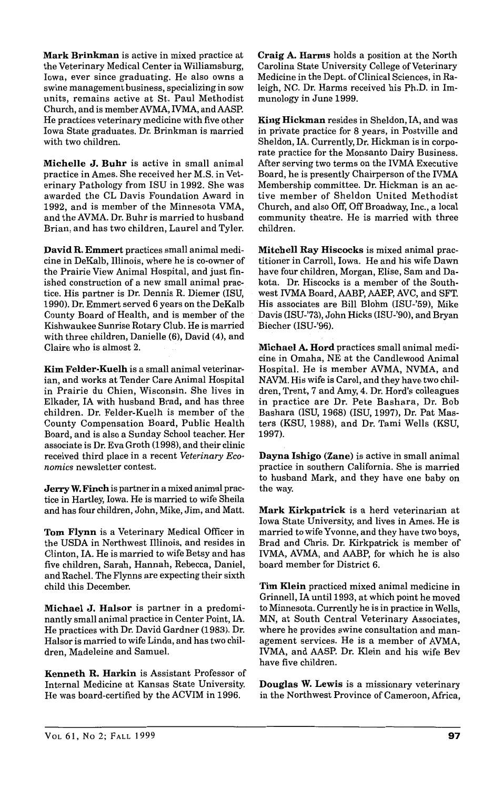Mark Brinkman is active in mixed practice at the Veterinary Medical Center in Williamsburg, Iowa, ever since graduating. He also owns a swine management business, specializing in sow units, remains active at St. Paul Methodist Church, and is member AVMA, IVMA, and AASP. He practices veterinary medicine with five other Iowa State graduates. Dr. Brinkman is married with two children.

Michelle J. Buhr is active in small animal practice in Ames. She received her M.S. in Veterinary Pathology from ISU in 1992. She was awarded the CL Davis Foundation Award in 1992, and is member of the Minnesota VMA, and the AVMA. Dr. Buhr is married to husband Brian, and has two children, Laurel and Tyler.

David R. Emmert practices small animal medicine in DeKalb, Illinois, where he is co-owner of the Prairie View Animal Hospital, and just finished construction of a new small animal practice. His partner is Dr. Dennis R. Diemer (lSU, 1990). Dr. Emmert served 6 years on the DeKalb County Board of Health, and is member of the Kishwaukee Sunrise Rotary Club. He is married with three children, Danielle (6), David (4), and Claire who is almost 2.

Kim Felder-Kuelh is a small animal veterinarian, and works at Tender Care Animal Hospital in Prairie du Chien, Wisconsin. She lives in Elkader, IA with husband Brad, and has three children. Dr. Felder-Kuelh is member of the County Compensation Board, Public Health Board, and is also a Sunday School teacher. Her associate is Dr. Eva Groth (1998), and their clinic received third place in a recent *Veterinary Economics* newsletter contest.

Jerry W. Finch is partner in a mixed animal practice in Hartley, Iowa. He is married to wife Sheila and has four children, John, Mike, Jim, and Matt.

Tom Flynn is a Veterinary Medical Officer in the USDA in Northwest Illinois, and resides in Clinton, IA. He is married to wife Betsy and has five children, Sarah, Hannah, Rebecca, Daniel, and Rachel. The Flynns are expecting their sixth child this December.

Michael J. Halsor is partner in a predominantly small animal practice in Center Point, IA. He practices with Dr. David Gardner (1983). Dr. Halsor is married to wife Linda, and has two children, Madeleine and Samuel.

Kenneth R. Harkin is Assistant Professor of Internal Medicine at Kansas State University. He was board-certified by the ACVIM in 1996.

Craig A. Harms holds a position at the North Carolina State University College of Veterinary Medicine in the Dept. of Clinical Sciences, in Raleigh, NC. Dr. Harms received his Ph.D. in Immunology in June 1999.

King Hickman resides in Sheldon, lA, and was in private practice for 8 years, in Postville and Sheldon, IA. Currently, Dr. Hickman is in corporate practice for the Monsanto Dairy Business. After serving two terms on the IVMA Executive Board, he is presently Chairperson of the IVMA Membership committee. Dr. Hickman is an active member of Sheldon United Methodist Church, and also Off, Off Broadway, Inc., a local community theatre. He is married with three children.

Mitchell Ray Hiscocks is mixed animal practitioner in Carroll, Iowa. He and his wife Dawn have four children, Morgan, Elise, Sam and Dakota. Dr. Hiscocks is a member of the Southwest IVMA Board, AABP, AAEP, AVC, and SFT. His associates are Bill Blohm (ISU-'59), Mike Davis (ISU-'73), John Hicks (ISU-'90), and Bryan Biecher (lSU-'96).

Michael A. Hord practices small animal medicine in Omaha, NE at the Candlewood Animal Hospital. He is member AVMA, NVMA, and NAVM. His wife is Carol, and they have two children, Trent, 7 and Amy, 4. Dr. Hord's colleagues in practice are Dr. Pete Bashara, Dr. Bob Bashara (ISU, 1968) (lSU, 1997), Dr. Pat Masters (KSU, 1988), and Dr. Tami Wells (KSU, 1997).

Dayna Ishigo (Zane) is active in small animal practice in southern California. She is married to husband Mark, and they have one baby on the way.

Mark Kirkpatrick is a herd veterinarian at Iowa State University, and lives in Ames. He is married to wife Yvonne, and they have two boys, Brad and Chris. Dr. Kirkpatrick is member of IVMA, AVMA, and AABP, for which he is also board member for District 6.

Tim Klein practiced mixed animal medicine in Grinnell, IA until 1993, at which point he moved to Minnesota. Currently he is in practice in Wells, MN, at South Central Veterinary Associates, where he provides swine consultation and management services. He is a member of AVMA, IVMA, and AASP. Dr. Klein and his wife Bev have five children.

Douglas W. Lewis is a missionary veterinary in the Northwest Province of Cameroon, Africa,